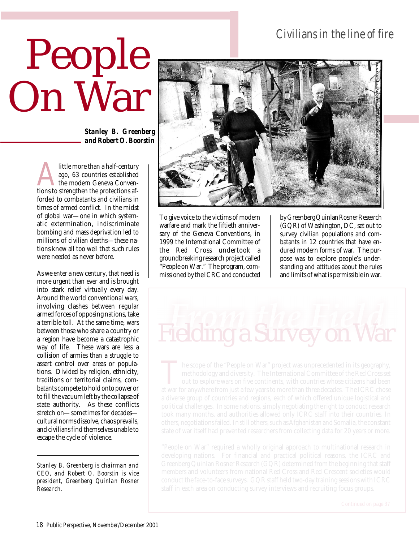## *Civilians in the line of fire*

## People On War

*Stanley B. Greenberg and Robert O. Boorstin*

Alittle more than a half-century<br>
ago, 63 countries established<br>
the modern Geneva Conven-<br>
tions to strengthen the protections afago, 63 countries established the modern Geneva Convenforded to combatants and civilians in times of armed conflict. In the midst of global war—one in which systematic extermination, indiscriminate bombing and mass deprivation led to millions of civilian deaths—these nations knew all too well that such rules were needed as never before.

As we enter a new century, that need is more urgent than ever and is brought into stark relief virtually every day. Around the world conventional wars, involving clashes between regular armed forces of opposing nations, take a terrible toll. At the same time, wars between those who share a country or a region have become a catastrophic way of life. These wars are less a collision of armies than a struggle to assert control over areas or populations. Divided by religion, ethnicity, traditions or territorial claims, combatants compete to hold onto power or to fill the vacuum left by the collapse of state authority. As these conflicts stretch on—sometimes for decades cultural norms dissolve, chaos prevails, and civilians find themselves unable to escape the cycle of violence.

*Stanley B. Greenberg is chairman and CEO, and Robert O. Boorstin is vice president, Greenberg Quinlan Rosner Research.*



To give voice to the victims of modern warfare and mark the fiftieth anniversary of the Geneva Conventions, in 1999 the International Committee of the Red Cross undertook a groundbreaking research project called "People on War." The program, commissioned by the ICRC and conducted

by Greenberg Quinlan Rosner Research (GQR) of Washington, DC, set out to survey civilian populations and combatants in 12 countries that have endured modern forms of war. The purpose was to explore people's understanding and attitudes about the rules and limits of what is permissible in war.

## Fielding a Survey on War

"People on War" required a wholly original approach to multinational research in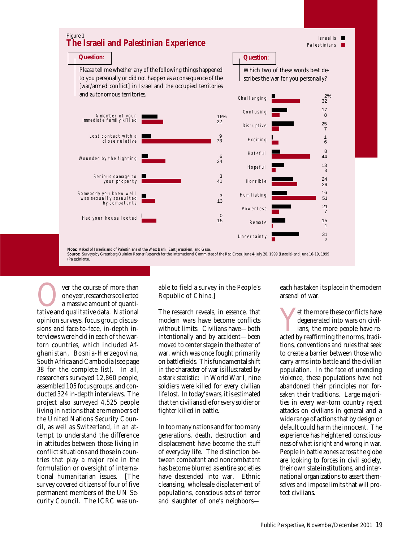

**Over the course of more than**<br>
one year, researchers collected<br>
a massive amount of quanti-<br>
tative and qualitative data. National one year, researchers collected a massive amount of quantiopinion surveys, focus group discussions and face-to-face, in-depth interviews were held in each of the wartorn countries, which included Afghanistan, Bosnia-Herzegovina, South Africa and Cambodia (see page 38 for the complete list). In all, researchers surveyed 12,860 people, assembled 105 focus groups, and conducted 324 in-depth interviews. The project also surveyed 4,525 people living in nations that are members of the United Nations Security Council, as well as Switzerland, in an attempt to understand the difference in attitudes between those living in conflict situations and those in countries that play a major role in the formulation or oversight of international humanitarian issues. [The survey covered citizens of four of five permanent members of the UN Security Council. The ICRC was un-

able to field a survey in the People's Republic of China.]

The research reveals, in essence, that modern wars have become conflicts without limits. Civilians have—both intentionally and by accident—been moved to center stage in the theater of war, which was once fought primarily on battlefields. This fundamental shift in the character of war is illustrated by a stark statistic: in World War I, nine soldiers were killed for every civilian life lost. In today's wars, it is estimated that ten civilians die for every soldier or fighter killed in battle.

In too many nations and for too many generations, death, destruction and displacement have become the stuff of everyday life. The distinction between combatant and noncombatant has become blurred as entire societies have descended into war. Ethnic cleansing, wholesale displacement of populations, conscious acts of terror and slaughter of one's neighborseach has taken its place in the modern arsenal of war.

et the more these conflicts have<br>degenerated into wars on civil-<br>ians, the more people have re-<br>acted by reaffirming the norms, tradidegenerated into wars on civilians, the more people have retions, conventions and rules that seek to create a barrier between those who carry arms into battle and the civilian population. In the face of unending violence, these populations have not abandoned their principles nor forsaken their traditions. Large majorities in every war-torn country reject attacks on civilians in general and a wide range of actions that by design or default could harm the innocent. The experience has heightened consciousness of what is right and wrong in war. People in battle zones across the globe are looking to forces in civil society, their own state institutions, and international organizations to assert themselves and impose limits that will protect civilians.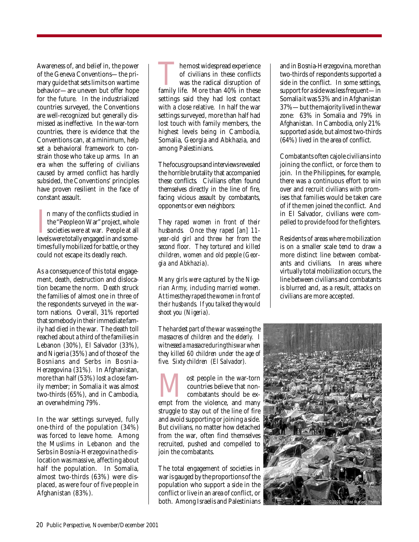Awareness of, and belief in, the power of the Geneva Conventions—the primary guide that sets limits on wartime behavior—are uneven but offer hope for the future. In the industrialized countries surveyed, the Conventions are well-recognized but generally dismissed as ineffective. In the war-torn countries, there is evidence that the Conventions can, at a minimum, help set a behavioral framework to constrain those who take up arms. In an era when the suffering of civilians caused by armed conflict has hardly subsided, the Conventions' principles have proven resilient in the face of constant assault.

In many of the conflicts studied in the "People on War" project, whole societies were at war. People at all levels were totally engaged in and somen many of the conflicts studied in the "People on War" project, whole societies were at war. People at all times fully mobilized for battle, or they could not escape its deadly reach.

As a consequence of this total engagement, death, destruction and dislocation became the norm. Death struck the families of almost one in three of the respondents surveyed in the wartorn nations. Overall, 31% reported that somebody in their immediate family had died in the war. The death toll reached about a third of the families in Lebanon (30%), El Salvador (33%), and Nigeria (35%) and of those of the Bosnians and Serbs in Bosnia-Herzegovina (31%). In Afghanistan, more than half (53%) lost a close family member; in Somalia it was almost two-thirds (65%), and in Cambodia, an overwhelming 79%.

In the war settings surveyed, fully one-third of the population (34%) was forced to leave home. Among the Muslims in Lebanon and the Serbs in Bosnia-Herzegovina the dislocation was massive, affecting about half the population. In Somalia, almost two-thirds (63%) were displaced, as were four of five people in Afghanistan (83%).

The most widespread experience<br>of civilians in these conflicts<br>was the radical disruption of<br>family life. More than 40% in these of civilians in these conflicts was the radical disruption of settings said they had lost contact with a close relative. In half the war settings surveyed, more than half had lost touch with family members, the highest levels being in Cambodia, Somalia, Georgia and Abkhazia, and among Palestinians.

The focus groups and interviews revealed the horrible brutality that accompanied these conflicts. Civilians often found themselves directly in the line of fire, facing vicious assault by combatants, opponents or even neighbors:

*They raped women in front of their husbands. Once they raped [an] 11 year-old girl and threw her from the second floor. They tortured and killed children, women and old people (Georgia and Abkhazia).*

*Many girls were captured by the Nigerian Army, including married women. At times they raped the women in front of their husbands. If you talked they would shoot you (Nigeria).*

*The hardest part of the war was seeing the massacres of children and the elderly. I witnessed a massacre during this war when they killed 60 children under the age of five. Sixty children (El Salvador).*

**EXECUTE IS NOTE AND COUNTER SERVIS CONTROLLER SUBJEM FROM A DISPONENT AND A DISPONENT AND A DISPONENT AND A DISPONENT AND A DISPONENT AND A DISPONENT AND A DISPONENT AND A DISPONENT A DISPONENT AND A DISPONENT A DISPONENT** countries believe that noncombatants should be exstruggle to stay out of the line of fire and avoid supporting or joining a side. But civilians, no matter how detached from the war, often find themselves recruited, pushed and compelled to join the combatants.

The total engagement of societies in war is gauged by the proportions of the population who support a side in the conflict or live in an area of conflict, or both. Among Israelis and Palestinians and in Bosnia-Herzegovina, more than two-thirds of respondents supported a side in the conflict. In some settings, support for a side was less frequent—in Somalia it was 53% and in Afghanistan 37%—but the majority lived in the war zone: 63% in Somalia and 79% in Afghanistan. In Cambodia, only 21% supported a side, but almost two-thirds (64%) lived in the area of conflict.

Combatants often cajole civilians into joining the conflict, or force them to join. In the Philippines, for example, there was a continuous effort to win over and recruit civilians with promises that families would be taken care of if the men joined the conflict. And in El Salvador, civilians were compelled to provide food for the fighters.

Residents of areas where mobilization is on a smaller scale tend to draw a more distinct line between combatants and civilians. In areas where virtually total mobilization occurs, the line between civilians and combatants is blurred and, as a result, attacks on civilians are more accepted.

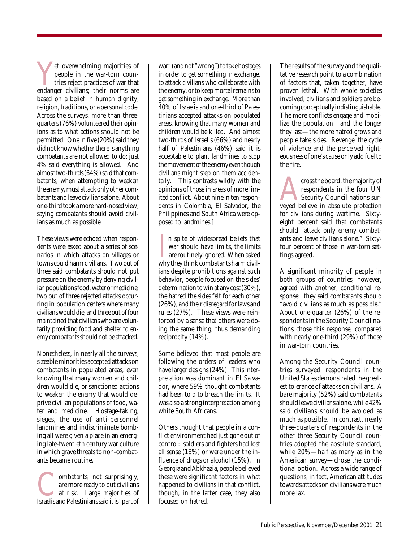Yet overwhelming majorities of<br>people in the war-torn coun-<br>tries reject practices of war that<br>endanger civilians; their norms are people in the war-torn countries reject practices of war that based on a belief in human dignity, religion, traditions, or a personal code. Across the surveys, more than threequarters (76%) volunteered their opinions as to what actions should not be permitted. One in five (20%) said they did not know whether there is anything combatants are not allowed to do; just 4% said everything is allowed. And almost two-thirds (64%) said that combatants, when attempting to weaken the enemy, must attack only other combatants and leave civilians alone. About one-third took a more hard-nosed view, saying combatants should avoid civilians as much as possible.

These views were echoed when respondents were asked about a series of scenarios in which attacks on villages or towns could harm civilians. Two out of three said combatants should not put pressure on the enemy by denying civilian populations food, water or medicine; two out of three rejected attacks occurring in population centers where many civilians would die; and three out of four maintained that civilians who are voluntarily providing food and shelter to enemy combatants should not be attacked.

Nonetheless, in nearly all the surveys, sizeable minorities accepted attacks on combatants in populated areas, even knowing that many women and children would die, or sanctioned actions to weaken the enemy that would deprive civilian populations of food, water and medicine. Hostage-taking, sieges, the use of anti-personnel landmines and indiscriminate bombing all were given a place in an emerging late-twentieth century war culture in which grave threats to non-combatants became routine.

**Combatants, not surprisingly, are more ready to put civilians at risk.** Large majorities of Israelis and Palestinians said it is "part of are more ready to put civilians at risk. Large majorities of

war" (and not "wrong") to take hostages in order to get something in exchange, to attack civilians who collaborate with the enemy, or to keep mortal remains to get something in exchange. More than 40% of Israelis and one-third of Palestinians accepted attacks on populated areas, knowing that many women and children would be killed. And almost two-thirds of Israelis (66%) and nearly half of Palestinians (46%) said it is acceptable to plant landmines to stop the movement of the enemy even though civilians might step on them accidentally. [This contrasts wildly with the opinions of those in areas of more limited conflict. About nine in ten respondents in Colombia, El Salvador, the Philippines and South Africa were opposed to landmines.]

In spite of widespread beliefs that<br>war should have limits, the limits<br>are routinely ignored. When asked<br>why they think combatants harm civiln spite of widespread beliefs that war should have limits, the limits are routinely ignored. When asked ians despite prohibitions against such behavior, people focused on the sides' determination to win at any cost (30%), the hatred the sides felt for each other (26%), and their disregard for laws and rules (27%). These views were reinforced by a sense that others were doing the same thing, thus demanding reciprocity (14%).

Some believed that most people are following the orders of leaders who have larger designs (24%). This interpretation was dominant in El Salvador, where 59% thought combatants had been told to breach the limits. It was also a strong interpretation among white South Africans.

Others thought that people in a conflict environment had just gone out of control: soldiers and fighters had lost all sense (18%) or were under the influence of drugs or alcohol (15%). In Georgia and Abkhazia, people believed these were significant factors in what happened to civilians in that conflict, though, in the latter case, they also focused on hatred.

The results of the survey and the qualitative research point to a combination of factors that, taken together, have proven lethal. With whole societies involved, civilians and soldiers are becoming conceptually indistinguishable. The more conflicts engage and mobilize the population—and the longer they last—the more hatred grows and people take sides. Revenge, the cycle of violence and the perceived righteousness of one's cause only add fuel to the fire.

eross the board, the majority of respondents in the four UN Security Council nations surveyed believe in absolute protection respondents in the four UN Security Council nations surfor civilians during wartime. Sixtyeight percent said that combatants should "attack only enemy combatants and leave civilians alone." Sixtyfour percent of those in war-torn settings agreed.

A significant minority of people in both groups of countries, however, agreed with another, conditional response: they said combatants should "avoid civilians as much as possible." About one-quarter (26%) of the respondents in the Security Council nations chose this response, compared with nearly one-third (29%) of those in war-torn countries.

Among the Security Council countries surveyed, respondents in the United States demonstrated the greatest tolerance of attacks on civilians. A bare majority (52%) said combatants should leave civilians alone, while 42% said civilians should be avoided as much as possible. In contrast, nearly three-quarters of respondents in the other three Security Council countries adopted the absolute standard, while 20%—half as many as in the American survey—chose the conditional option. Across a wide range of questions, in fact, American attitudes towards attacks on civilians were much more lax.